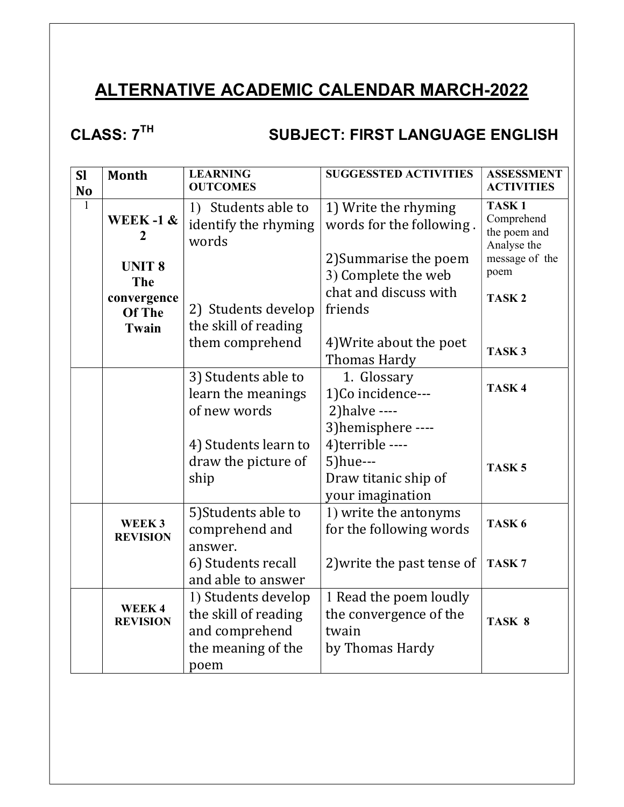# ALTERNATIVE ACADEMIC CALENDAR MARCH-2022

# CLASS: 7<sup>TH</sup> SUBJECT: FIRST LANGUAGE ENGLISH

| <b>SI</b><br>N <sub>o</sub> | <b>Month</b>                                                                          | <b>LEARNING</b><br><b>OUTCOMES</b>                                                          | <b>SUGGESSTED ACTIVITIES</b>                                                 | <b>ASSESSMENT</b><br><b>ACTIVITIES</b>                         |  |
|-----------------------------|---------------------------------------------------------------------------------------|---------------------------------------------------------------------------------------------|------------------------------------------------------------------------------|----------------------------------------------------------------|--|
| $\mathbf{1}$                | 1) Students able to<br>WEEK-1 $\&$<br>identify the rhyming<br>$\overline{2}$<br>words |                                                                                             | 1) Write the rhyming<br>words for the following.                             | TASK <sub>1</sub><br>Comprehend<br>the poem and<br>Analyse the |  |
|                             | <b>UNIT 8</b><br>The                                                                  |                                                                                             | 2) Summarise the poem<br>3) Complete the web                                 | message of the<br>poem                                         |  |
|                             | convergence<br>Of The<br>Twain                                                        | 2) Students develop<br>the skill of reading                                                 | chat and discuss with<br>friends                                             | TASK <sub>2</sub>                                              |  |
|                             |                                                                                       | them comprehend                                                                             | 4) Write about the poet<br><b>Thomas Hardy</b>                               | TASK <sub>3</sub>                                              |  |
|                             |                                                                                       | 3) Students able to<br>learn the meanings<br>of new words                                   | 1. Glossary<br>1)Co incidence---<br>$2)$ halve ----                          | TASK <sub>4</sub>                                              |  |
|                             |                                                                                       |                                                                                             | 3) hemisphere ----                                                           |                                                                |  |
|                             |                                                                                       | 4) Students learn to<br>draw the picture of<br>ship                                         | 4)terrible ----<br>$5)$ hue---<br>Draw titanic ship of<br>your imagination   | TASK <sub>5</sub>                                              |  |
|                             | WEEK3<br><b>REVISION</b>                                                              | 5) Students able to<br>comprehend and<br>answer.                                            | 1) write the antonyms<br>for the following words                             | TASK <sub>6</sub>                                              |  |
|                             |                                                                                       | 6) Students recall<br>and able to answer                                                    | 2) write the past tense of                                                   | TASK <sub>7</sub>                                              |  |
|                             | WEEK4<br><b>REVISION</b>                                                              | 1) Students develop<br>the skill of reading<br>and comprehend<br>the meaning of the<br>poem | 1 Read the poem loudly<br>the convergence of the<br>twain<br>by Thomas Hardy | TASK <sub>8</sub>                                              |  |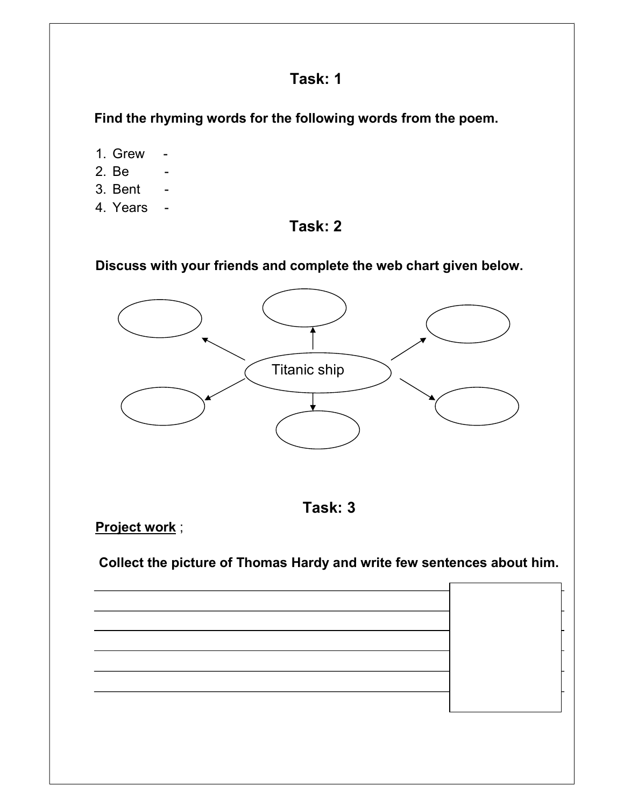Find the rhyming words for the following words from the poem.

- 1. Grew -
- 2. Be
- 3. Bent -
- 4. Years -

#### Task: 2

Discuss with your friends and complete the web chart given below.





Project work;

Collect the picture of Thomas Hardy and write few sentences about him.

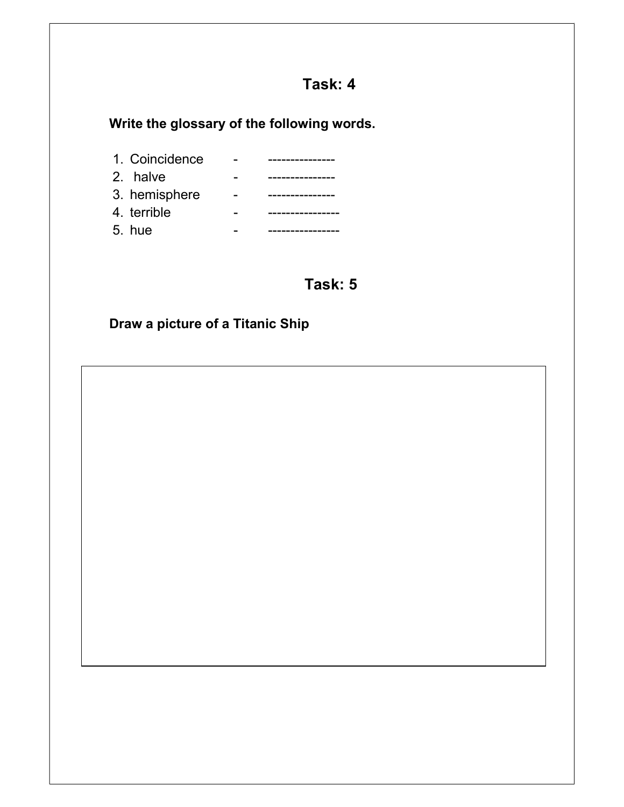Write the glossary of the following words.

| 1. Coincidence |  |
|----------------|--|
| 2. halve       |  |
| 3. hemisphere  |  |
| 4. terrible    |  |
| $5.$ hue       |  |

## Task: 5

## Draw a picture of a Titanic Ship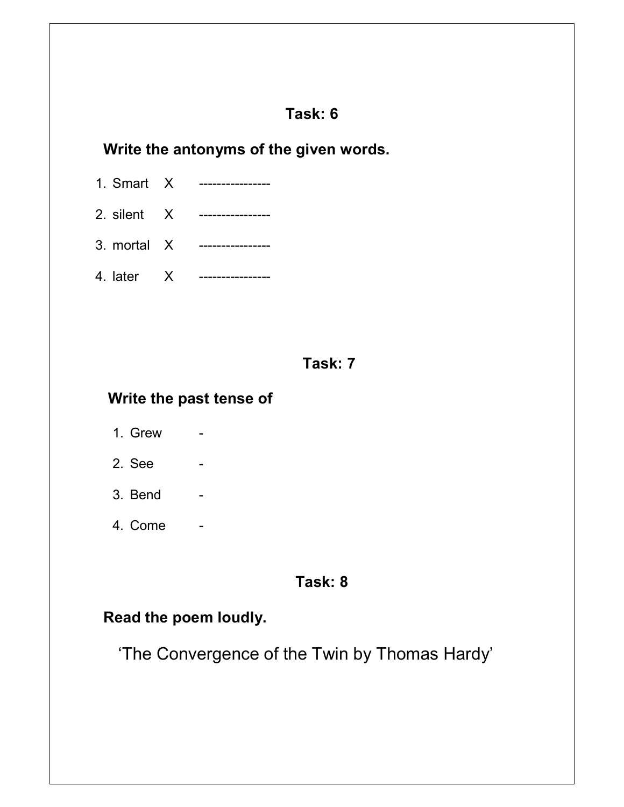## Write the antonyms of the given words.

- 1. Smart X ----------------
- 2. silent X ----------------
- 3. mortal X ----------------
- 4. later X ----------------

#### Task: 7

#### Write the past tense of

- 1. Grew -
- 2. See
- 3. Bend
- 4. Come -

#### Task: 8

#### Read the poem loudly.

'The Convergence of the Twin by Thomas Hardy'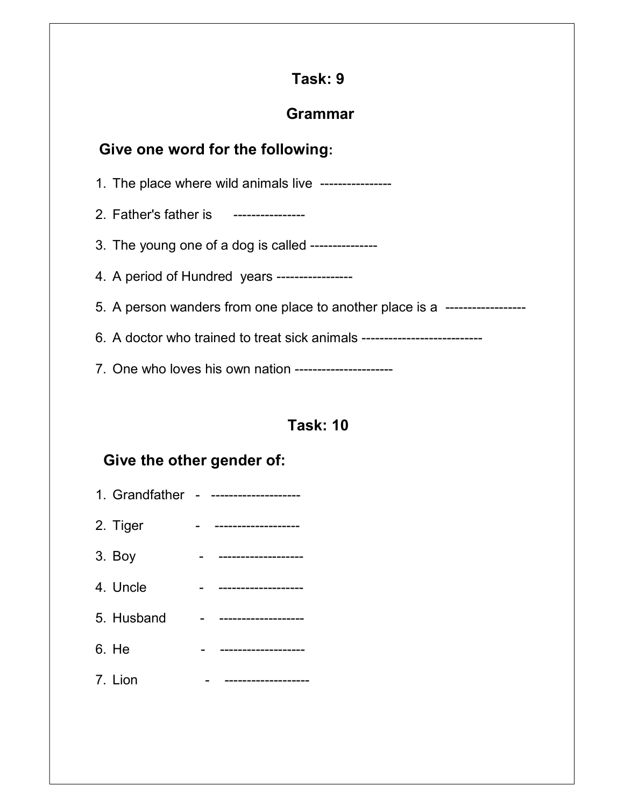## Grammar

## Give one word for the following:

1. The place where wild animals live ----------------

2. Father's father is ----------------

3. The young one of a dog is called ---------------

4. A period of Hundred years -----------------

5. A person wanders from one place to another place is a ------------------

6. A doctor who trained to treat sick animals ---------------------------

7. One who loves his own nation ----------------------

## Task: 10

## Give the other gender of:

| 1. Grandfather - - |  |
|--------------------|--|
| 2. Tiger           |  |
| 3. Boy             |  |
| 4. Uncle           |  |
| 5. Husband         |  |
| 6. He              |  |
| 7. Lion            |  |